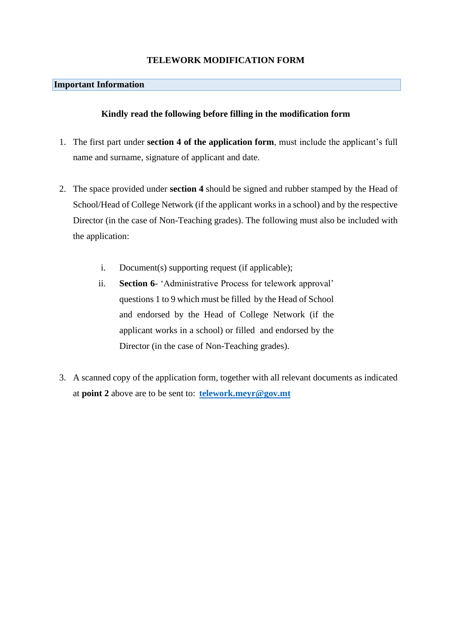#### **TELEWORK MODIFICATION FORM**

#### **Important Information**

#### **Kindly read the following before filling in the modification form**

- 1. The first part under **section 4 of the application form**, must include the applicant's full name and surname, signature of applicant and date.
- 2. The space provided under **section 4** should be signed and rubber stamped by the Head of School/Head of College Network (if the applicant works in a school) and by the respective Director (in the case of Non-Teaching grades). The following must also be included with the application:
	- i. Document(s) supporting request (if applicable);
	- ii. **Section 6** 'Administrative Process for telework approval' questions 1 to 9 which must be filled by the Head of School and endorsed by the Head of College Network (if the applicant works in a school) or filled and endorsed by the Director (in the case of Non-Teaching grades).
- 3. A scanned copy of the application form, together with all relevant documents as indicated at **point 2** above are to be sent to: **[telework.meyr@gov.mt](mailto:telework.meyr@gov.mt)**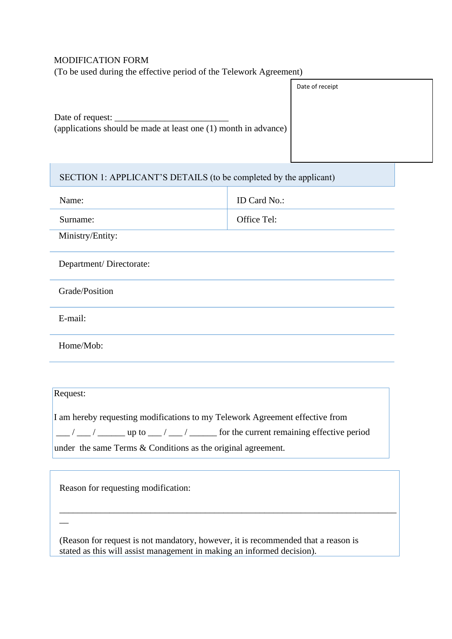### MODIFICATION FORM

(To be used during the effective period of the Telework Agreement)

|                                                                                     | Date of receipt |
|-------------------------------------------------------------------------------------|-----------------|
| Date of request:<br>(applications should be made at least one (1) month in advance) |                 |

# SECTION 1: APPLICANT'S DETAILS (to be completed by the applicant) Name: ID Card No.: Surname: Surname: Surname: Surname: Surname: Surname: Surname: Surname: Surname: Surname: Surname: Surname: Surname: Surname: Surname: Surname: Surname: Surname: Surname: Surname: Surname: Surname: Surname: Surname: Surnam Ministry/Entity: Department/ Directorate:

Grade/Position

E-mail:

Home/Mob:

| Request:                                                                                                                    |  |  |
|-----------------------------------------------------------------------------------------------------------------------------|--|--|
|                                                                                                                             |  |  |
|                                                                                                                             |  |  |
| I am hereby requesting modifications to my Telework Agreement effective from                                                |  |  |
| $\vert \underline{\hspace{1cm}}/$ $\bot$ / $\bot$ up to $\bot$ / $\bot$ / $\bot$ for the current remaining effective period |  |  |
|                                                                                                                             |  |  |
| under the same Terms $&$ Conditions as the original agreement.                                                              |  |  |
|                                                                                                                             |  |  |

l,

Reason for requesting modification:

 $\overline{\phantom{a}}$ 

(Reason for request is not mandatory, however, it is recommended that a reason is stated as this will assist management in making an informed decision).

\_\_\_\_\_\_\_\_\_\_\_\_\_\_\_\_\_\_\_\_\_\_\_\_\_\_\_\_\_\_\_\_\_\_\_\_\_\_\_\_\_\_\_\_\_\_\_\_\_\_\_\_\_\_\_\_\_\_\_\_\_\_\_\_\_\_\_\_\_\_\_\_\_\_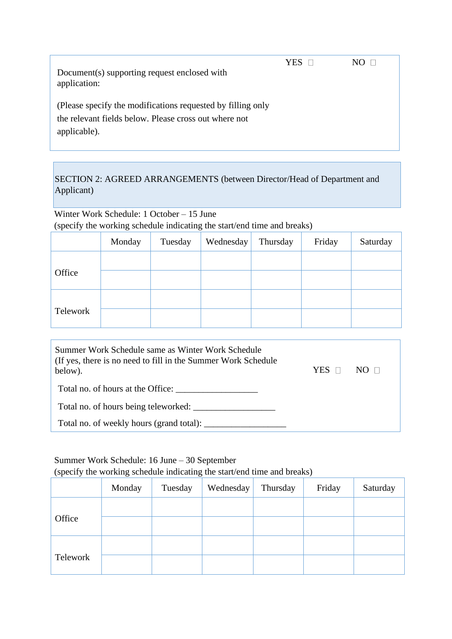YES NO

Document(s) supporting request enclosed with application:

(Please specify the modifications requested by filling only the relevant fields below. Please cross out where not applicable).

## SECTION 2: AGREED ARRANGEMENTS (between Director/Head of Department and Applicant)

Winter Work Schedule: 1 October – 15 June (specify the working schedule indicating the start/end time and breaks)

|          | Monday | Tuesday | Wednesday | Thursday | Friday | Saturday |
|----------|--------|---------|-----------|----------|--------|----------|
|          |        |         |           |          |        |          |
| Office   |        |         |           |          |        |          |
|          |        |         |           |          |        |          |
| Telework |        |         |           |          |        |          |

| Summer Work Schedule same as Winter Work Schedule<br>(If yes, there is no need to fill in the Summer Work Schedule)<br>below). | YES.<br>$\Box$ | $N()$ $\Box$ |
|--------------------------------------------------------------------------------------------------------------------------------|----------------|--------------|
| Total no. of hours at the Office:                                                                                              |                |              |
| Total no. of hours being teleworked:                                                                                           |                |              |
| Total no. of weekly hours (grand total):                                                                                       |                |              |

## Summer Work Schedule: 16 June – 30 September

(specify the working schedule indicating the start/end time and breaks)

|          | Monday | Tuesday | Wednesday | Thursday | Friday | Saturday |
|----------|--------|---------|-----------|----------|--------|----------|
|          |        |         |           |          |        |          |
| Office   |        |         |           |          |        |          |
|          |        |         |           |          |        |          |
| Telework |        |         |           |          |        |          |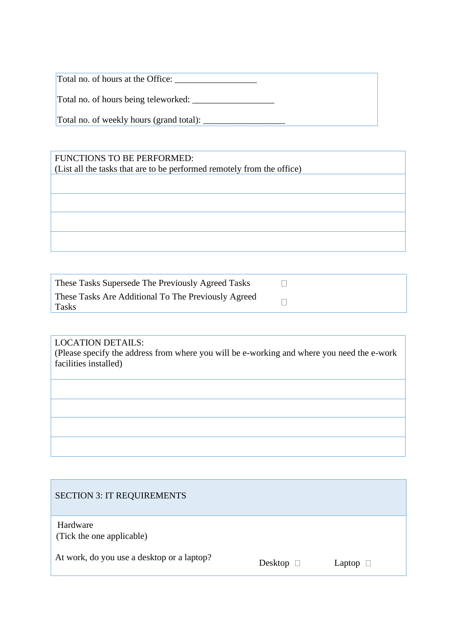Total no. of hours at the Office:

Total no. of hours being teleworked:

Total no. of weekly hours (grand total): \_\_\_\_\_\_\_\_\_\_\_\_\_\_\_\_\_\_

## FUNCTIONS TO BE PERFORMED:

(List all the tasks that are to be performed remotely from the office)

| These Tasks Supersede The Previously Agreed Tasks            |  |
|--------------------------------------------------------------|--|
| These Tasks Are Additional To The Previously Agreed<br>Tasks |  |

## LOCATION DETAILS:

(Please specify the address from where you will be e-working and where you need the e-work facilities installed)

Hardware (Tick the one applicable)

At work, do you use a desktop or a laptop?<br>Desktop  $\Box$  Laptop  $\Box$ 

| Desktop |  |
|---------|--|
|         |  |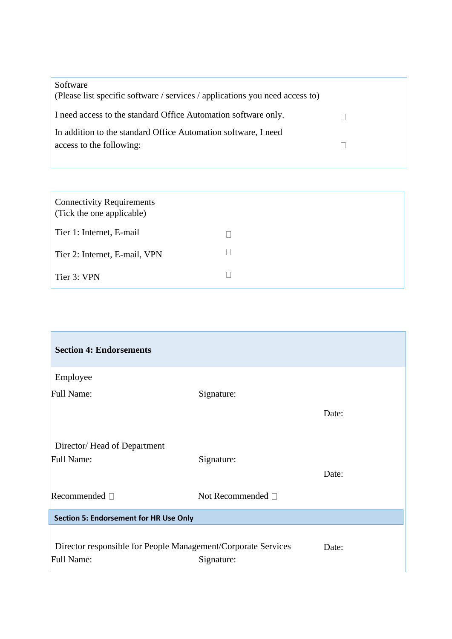| Software<br>(Please list specific software / services / applications you need access to) |  |
|------------------------------------------------------------------------------------------|--|
| I need access to the standard Office Automation software only.                           |  |
| In addition to the standard Office Automation software, I need                           |  |
| access to the following:                                                                 |  |
|                                                                                          |  |

| <b>Connectivity Requirements</b><br>(Tick the one applicable) |  |
|---------------------------------------------------------------|--|
| Tier 1: Internet, E-mail                                      |  |
| Tier 2: Internet, E-mail, VPN                                 |  |
| Tier 3: VPN                                                   |  |

| Signature:                                    |                                                               |
|-----------------------------------------------|---------------------------------------------------------------|
|                                               | Date:                                                         |
|                                               |                                                               |
| Signature:                                    | Date:                                                         |
| Not Recommended □                             |                                                               |
| <b>Section 5: Endorsement for HR Use Only</b> |                                                               |
|                                               |                                                               |
|                                               | Director responsible for People Management/Corporate Services |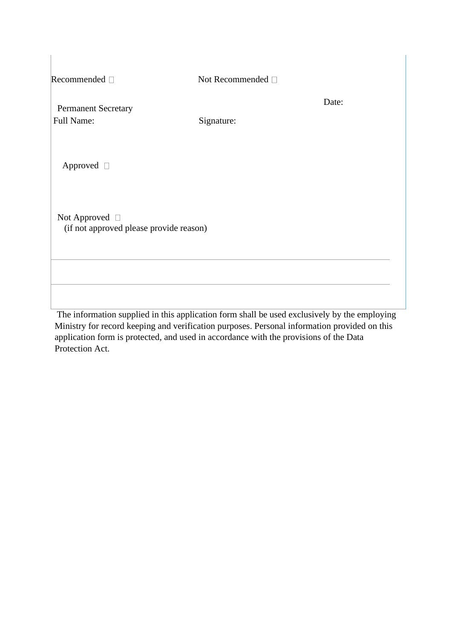| Recommended $\square$                                          | Not Recommended $\Box$ |       |
|----------------------------------------------------------------|------------------------|-------|
| <b>Permanent Secretary</b><br>Full Name:                       | Signature:             | Date: |
| Approved □                                                     |                        |       |
| Not Approved $\Box$<br>(if not approved please provide reason) |                        |       |
|                                                                |                        |       |
|                                                                |                        |       |

The information supplied in this application form shall be used exclusively by the employing Ministry for record keeping and verification purposes. Personal information provided on this application form is protected, and used in accordance with the provisions of the Data Protection Act.